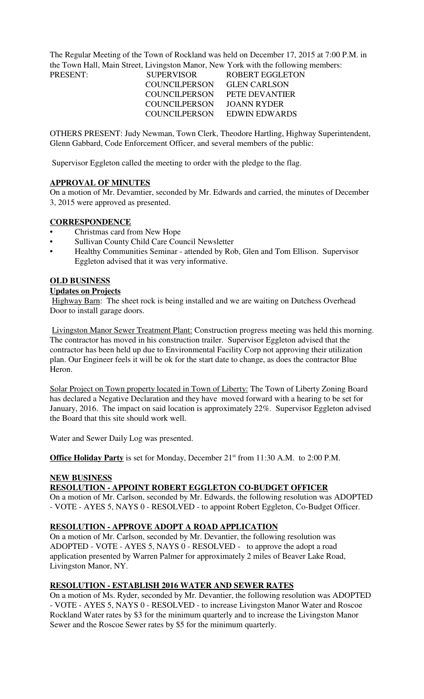The Regular Meeting of the Town of Rockland was held on December 17, 2015 at 7:00 P.M. in the Town Hall, Main Street, Livingston Manor, New York with the following members:

| <b>PRESENT:</b> | <b>SUPERVISOR</b>    | ROBERT EGGLETON     |
|-----------------|----------------------|---------------------|
|                 | <b>COUNCILPERSON</b> | <b>GLEN CARLSON</b> |
|                 | COUNCILPERSON        | PETE DEVANTIER      |
|                 | COUNCIL PERSON       | JOANN RYDER         |
|                 | <b>COUNCILPERSON</b> | EDWIN EDWARDS       |

OTHERS PRESENT: Judy Newman, Town Clerk, Theodore Hartling, Highway Superintendent, Glenn Gabbard, Code Enforcement Officer, and several members of the public:

Supervisor Eggleton called the meeting to order with the pledge to the flag.

## **APPROVAL OF MINUTES**

On a motion of Mr. Devamtier, seconded by Mr. Edwards and carried, the minutes of December 3, 2015 were approved as presented.

# **CORRESPONDENCE**

- Christmas card from New Hope
- Sullivan County Child Care Council Newsletter
- Healthy Communities Seminar attended by Rob, Glen and Tom Ellison. Supervisor Eggleton advised that it was very informative.

### **OLD BUSINESS**

#### **Updates on Projects**

 Highway Barn: The sheet rock is being installed and we are waiting on Dutchess Overhead Door to install garage doors.

 Livingston Manor Sewer Treatment Plant: Construction progress meeting was held this morning. The contractor has moved in his construction trailer. Supervisor Eggleton advised that the contractor has been held up due to Environmental Facility Corp not approving their utilization plan. Our Engineer feels it will be ok for the start date to change, as does the contractor Blue Heron.

Solar Project on Town property located in Town of Liberty: The Town of Liberty Zoning Board has declared a Negative Declaration and they have moved forward with a hearing to be set for January, 2016. The impact on said location is approximately 22%. Supervisor Eggleton advised the Board that this site should work well.

Water and Sewer Daily Log was presented.

**Office Holiday Party** is set for Monday, December 21<sup>st</sup> from 11:30 A.M. to 2:00 P.M.

### **NEW BUSINESS**

# **RESOLUTION - APPOINT ROBERT EGGLETON CO-BUDGET OFFICER**

On a motion of Mr. Carlson, seconded by Mr. Edwards, the following resolution was ADOPTED - VOTE - AYES 5, NAYS 0 - RESOLVED - to appoint Robert Eggleton, Co-Budget Officer.

## **RESOLUTION - APPROVE ADOPT A ROAD APPLICATION**

On a motion of Mr. Carlson, seconded by Mr. Devantier, the following resolution was ADOPTED - VOTE - AYES 5, NAYS 0 - RESOLVED - to approve the adopt a road application presented by Warren Palmer for approximately 2 miles of Beaver Lake Road, Livingston Manor, NY.

## **RESOLUTION - ESTABLISH 2016 WATER AND SEWER RATES**

On a motion of Ms. Ryder, seconded by Mr. Devantier, the following resolution was ADOPTED - VOTE - AYES 5, NAYS 0 - RESOLVED - to increase Livingston Manor Water and Roscoe Rockland Water rates by \$3 for the minimum quarterly and to increase the Livingston Manor Sewer and the Roscoe Sewer rates by \$5 for the minimum quarterly.